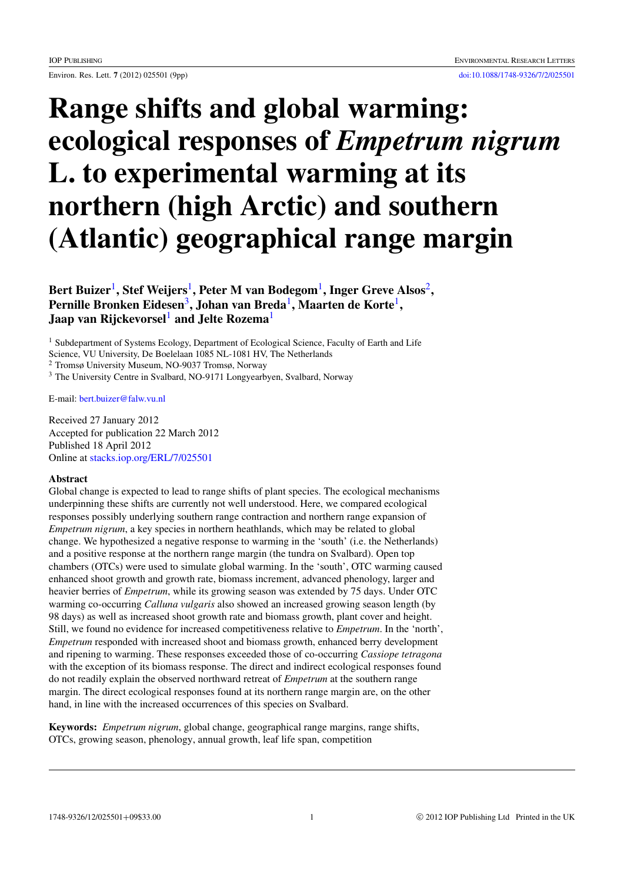# Range shifts and global warming: ecological responses of *Empetrum nigrum* L. to experimental warming at its northern (high Arctic) and southern (Atlantic) geographical range margin

Bert Buizer $^1$  $^1$ , Stef Weijers $^1$ , Peter M van Bodegom $^1$ , Inger Greve Alsos $^2$  $^2$ , Pernille Bronken Eidesen<sup>[3](#page-0-2)</sup>, Johan van Breda<sup>[1](#page-0-0)</sup>, Maarten de Korte<sup>1</sup>, Jaap van Rijckevorsel<sup>[1](#page-0-0)</sup> and Jelte Rozema<sup>1</sup>

<span id="page-0-0"></span><sup>1</sup> Subdepartment of Systems Ecology, Department of Ecological Science, Faculty of Earth and Life Science, VU University, De Boelelaan 1085 NL-1081 HV, The Netherlands

<span id="page-0-1"></span><sup>2</sup> Tromsø University Museum, NO-9037 Tromsø, Norway

<span id="page-0-2"></span><sup>3</sup> The University Centre in Svalbard, NO-9171 Longyearbyen, Svalbard, Norway

E-mail: [bert.buizer@falw.vu.nl](mailto:bert.buizer@falw.vu.nl)

Received 27 January 2012 Accepted for publication 22 March 2012 Published 18 April 2012 Online at [stacks.iop.org/ERL/7/025501](http://stacks.iop.org/ERL/7/025501)

# Abstract

Global change is expected to lead to range shifts of plant species. The ecological mechanisms underpinning these shifts are currently not well understood. Here, we compared ecological responses possibly underlying southern range contraction and northern range expansion of *Empetrum nigrum*, a key species in northern heathlands, which may be related to global change. We hypothesized a negative response to warming in the 'south' (i.e. the Netherlands) and a positive response at the northern range margin (the tundra on Svalbard). Open top chambers (OTCs) were used to simulate global warming. In the 'south', OTC warming caused enhanced shoot growth and growth rate, biomass increment, advanced phenology, larger and heavier berries of *Empetrum*, while its growing season was extended by 75 days. Under OTC warming co-occurring *Calluna vulgaris* also showed an increased growing season length (by 98 days) as well as increased shoot growth rate and biomass growth, plant cover and height. Still, we found no evidence for increased competitiveness relative to *Empetrum*. In the 'north', *Empetrum* responded with increased shoot and biomass growth, enhanced berry development and ripening to warming. These responses exceeded those of co-occurring *Cassiope tetragona* with the exception of its biomass response. The direct and indirect ecological responses found do not readily explain the observed northward retreat of *Empetrum* at the southern range margin. The direct ecological responses found at its northern range margin are, on the other hand, in line with the increased occurrences of this species on Svalbard.

Keywords: *Empetrum nigrum*, global change, geographical range margins, range shifts, OTCs, growing season, phenology, annual growth, leaf life span, competition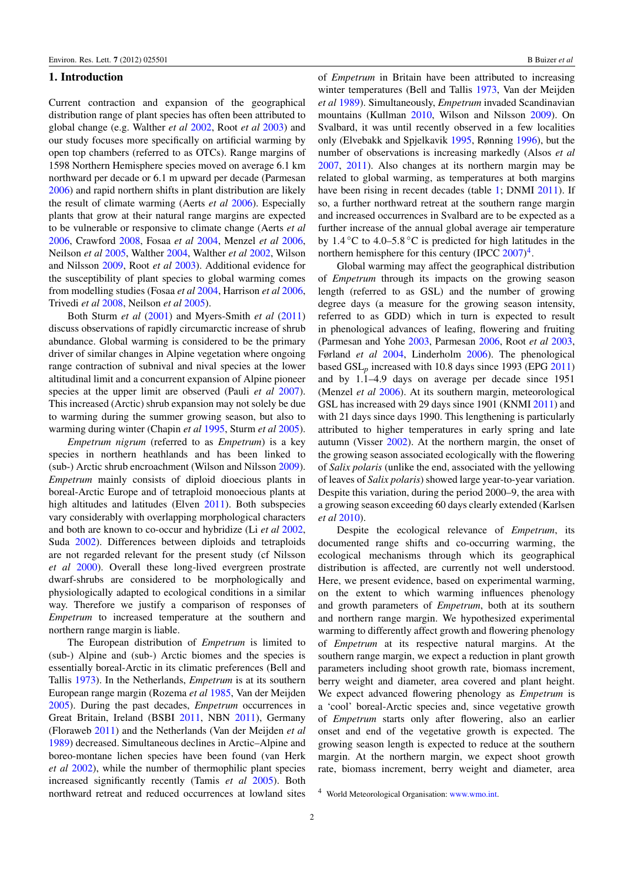# 1. Introduction

Current contraction and expansion of the geographical distribution range of plant species has often been attributed to global change (e.g. Walther *et al* [2002,](#page-8-0) Root *et al* [2003\)](#page-8-1) and our study focuses more specifically on artificial warming by open top chambers (referred to as OTCs). Range margins of 1598 Northern Hemisphere species moved on average 6.1 km northward per decade or 6.1 m upward per decade (Parmesan [2006\)](#page-8-2) and rapid northern shifts in plant distribution are likely the result of climate warming (Aerts *et al* [2006\)](#page-7-0). Especially plants that grow at their natural range margins are expected to be vulnerable or responsive to climate change (Aerts *et al* [2006,](#page-7-0) Crawford [2008,](#page-7-1) Fosaa *et al* [2004,](#page-7-2) Menzel *et al* [2006,](#page-8-3) Neilson *et al* [2005,](#page-8-4) Walther [2004,](#page-8-5) Walther *et al* [2002,](#page-8-0) Wilson and Nilsson [2009,](#page-8-6) Root *et al* [2003\)](#page-8-1). Additional evidence for the susceptibility of plant species to global warming comes from modelling studies (Fosaa *et al* [2004,](#page-7-2) Harrison *et al* [2006,](#page-8-7) Trivedi *et al* [2008,](#page-8-8) Neilson *et al* [2005\)](#page-8-4).

Both Sturm *et al* [\(2001\)](#page-8-9) and Myers-Smith *et al* [\(2011\)](#page-8-10) discuss observations of rapidly circumarctic increase of shrub abundance. Global warming is considered to be the primary driver of similar changes in Alpine vegetation where ongoing range contraction of subnival and nival species at the lower altitudinal limit and a concurrent expansion of Alpine pioneer species at the upper limit are observed (Pauli *et al* [2007\)](#page-8-11). This increased (Arctic) shrub expansion may not solely be due to warming during the summer growing season, but also to warming during winter (Chapin *et al* [1995,](#page-7-3) Sturm *et al* [2005\)](#page-8-12).

*Empetrum nigrum* (referred to as *Empetrum*) is a key species in northern heathlands and has been linked to (sub-) Arctic shrub encroachment (Wilson and Nilsson [2009\)](#page-8-6). *Empetrum* mainly consists of diploid dioecious plants in boreal-Arctic Europe and of tetraploid monoecious plants at high altitudes and latitudes (Elven [2011\)](#page-7-4). Both subspecies vary considerably with overlapping morphological characters and both are known to co-occur and hybridize (Li *et al* [2002,](#page-8-13) Suda [2002\)](#page-8-14). Differences between diploids and tetraploids are not regarded relevant for the present study (cf Nilsson *et al* [2000\)](#page-8-15). Overall these long-lived evergreen prostrate dwarf-shrubs are considered to be morphologically and physiologically adapted to ecological conditions in a similar way. Therefore we justify a comparison of responses of *Empetrum* to increased temperature at the southern and northern range margin is liable.

The European distribution of *Empetrum* is limited to (sub-) Alpine and (sub-) Arctic biomes and the species is essentially boreal-Arctic in its climatic preferences (Bell and Tallis [1973\)](#page-7-5). In the Netherlands, *Empetrum* is at its southern European range margin (Rozema *et al* [1985,](#page-8-16) Van der Meijden [2005\)](#page-8-17). During the past decades, *Empetrum* occurrences in Great Britain, Ireland (BSBI [2011,](#page-7-6) NBN [2011\)](#page-8-18), Germany (Floraweb [2011\)](#page-7-7) and the Netherlands (Van der Meijden *et al* [1989\)](#page-8-19) decreased. Simultaneous declines in Arctic–Alpine and boreo-montane lichen species have been found (van Herk *et al* [2002\)](#page-8-20), while the number of thermophilic plant species increased significantly recently (Tamis *et al* [2005\)](#page-8-21). Both northward retreat and reduced occurrences at lowland sites

of *Empetrum* in Britain have been attributed to increasing winter temperatures (Bell and Tallis [1973,](#page-7-5) Van der Meijden *et al* [1989\)](#page-8-19). Simultaneously, *Empetrum* invaded Scandinavian mountains (Kullman [2010,](#page-8-22) Wilson and Nilsson [2009\)](#page-8-6). On Svalbard, it was until recently observed in a few localities only (Elvebakk and Spjelkavik [1995,](#page-7-8) Rønning [1996\)](#page-8-23), but the number of observations is increasing markedly (Alsos *et al* [2007,](#page-7-9) [2011\)](#page-7-10). Also changes at its northern margin may be related to global warming, as temperatures at both margins have been rising in recent decades (table [1;](#page-2-0) DNMI [2011\)](#page-7-11). If so, a further northward retreat at the southern range margin and increased occurrences in Svalbard are to be expected as a further increase of the annual global average air temperature by 1.4 ◦C to 4.0–5.8 ◦C is predicted for high latitudes in the northern hemisphere for this century (IPCC  $2007)^4$  $2007)^4$  $2007)^4$ .

Global warming may affect the geographical distribution of *Empetrum* through its impacts on the growing season length (referred to as GSL) and the number of growing degree days (a measure for the growing season intensity, referred to as GDD) which in turn is expected to result in phenological advances of leafing, flowering and fruiting (Parmesan and Yohe [2003,](#page-8-25) Parmesan [2006,](#page-8-2) Root *et al* [2003,](#page-8-1) Førland *et al* [2004,](#page-7-12) Linderholm [2006\)](#page-8-26). The phenological based GSL*p* increased with 10.8 days since 1993 (EPG [2011\)](#page-7-13) and by 1.1–4.9 days on average per decade since 1951 (Menzel *et al* [2006\)](#page-8-3). At its southern margin, meteorological GSL has increased with 29 days since 1901 (KNMI [2011\)](#page-8-27) and with 21 days since days 1990. This lengthening is particularly attributed to higher temperatures in early spring and late autumn (Visser [2002\)](#page-8-28). At the northern margin, the onset of the growing season associated ecologically with the flowering of *Salix polaris* (unlike the end, associated with the yellowing of leaves of *Salix polaris*) showed large year-to-year variation. Despite this variation, during the period 2000–9, the area with a growing season exceeding 60 days clearly extended (Karlsen *et al* [2010\)](#page-8-29).

Despite the ecological relevance of *Empetrum*, its documented range shifts and co-occurring warming, the ecological mechanisms through which its geographical distribution is affected, are currently not well understood. Here, we present evidence, based on experimental warming, on the extent to which warming influences phenology and growth parameters of *Empetrum*, both at its southern and northern range margin. We hypothesized experimental warming to differently affect growth and flowering phenology of *Empetrum* at its respective natural margins. At the southern range margin, we expect a reduction in plant growth parameters including shoot growth rate, biomass increment, berry weight and diameter, area covered and plant height. We expect advanced flowering phenology as *Empetrum* is a 'cool' boreal-Arctic species and, since vegetative growth of *Empetrum* starts only after flowering, also an earlier onset and end of the vegetative growth is expected. The growing season length is expected to reduce at the southern margin. At the northern margin, we expect shoot growth rate, biomass increment, berry weight and diameter, area

<span id="page-1-0"></span><sup>4</sup> World Meteorological Organisation: [www.wmo.int.](www.wmo.int)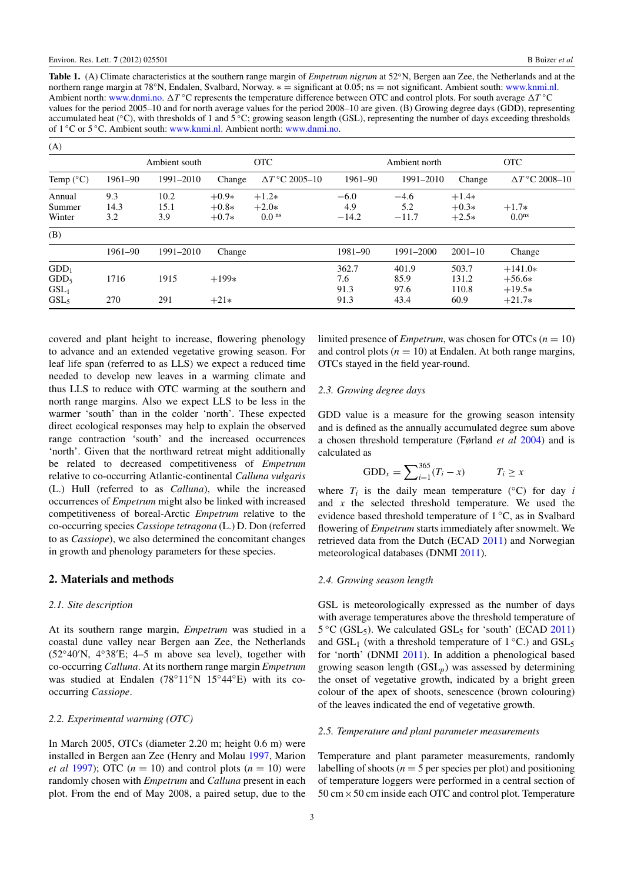<span id="page-2-0"></span>Table 1. (A) Climate characteristics at the southern range margin of *Empetrum nigrum* at 52◦N, Bergen aan Zee, the Netherlands and at the northern range margin at 78°N, Endalen, Svalbard, Norway. ∗ = significant at 0.05; ns = not significant. Ambient south: [www.knmi.nl.](www.knmi.nl) Ambient north: [www.dnmi.no.](www.dnmi.no) ∆T °C represents the temperature difference between OTC and control plots. For south average ∆T °C values for the period 2005–10 and for north average values for the period 2008–10 are given. (B) Growing degree days (GDD), representing accumulated heat (◦C), with thresholds of 1 and 5 ◦C; growing season length (GSL), representing the number of days exceeding thresholds of 1 ◦C or 5 ◦C. Ambient south: [www.knmi.nl.](www.knmi.nl) Ambient north: [www.dnmi.no.](www.dnmi.no)

| (A)                |         |               |         |                       |         |               |             |                       |
|--------------------|---------|---------------|---------|-----------------------|---------|---------------|-------------|-----------------------|
|                    |         | Ambient south |         | <b>OTC</b>            |         | Ambient north |             | <b>OTC</b>            |
| Temp $(^{\circ}C)$ | 1961-90 | 1991-2010     | Change  | $\Delta T$ °C 2005–10 | 1961-90 | 1991-2010     | Change      | $\Delta T$ °C 2008-10 |
| Annual             | 9.3     | 10.2          | $+0.9*$ | $+1.2*$               | $-6.0$  | $-4.6$        | $+1.4*$     |                       |
| Summer             | 14.3    | 15.1          | $+0.8*$ | $+2.0*$               | 4.9     | 5.2           | $+0.3*$     | $+1.7*$               |
| Winter             | 3.2     | 3.9           | $+0.7*$ | 0.0 <sup>ns</sup>     | $-14.2$ | $-11.7$       | $+2.5*$     | 0.0 <sup>ns</sup>     |
| (B)                |         |               |         |                       |         |               |             |                       |
|                    | 1961-90 | 1991-2010     | Change  |                       | 1981-90 | 1991-2000     | $2001 - 10$ | Change                |
| $GDD_1$            |         |               |         |                       | 362.7   | 401.9         | 503.7       | $+141.0*$             |
| GDD <sub>5</sub>   | 1716    | 1915          | $+199*$ |                       | 7.6     | 85.9          | 131.2       | $+56.6*$              |
| GSL <sub>1</sub>   |         |               |         |                       | 91.3    | 97.6          | 110.8       | $+19.5*$              |
| GSL <sub>5</sub>   | 270     | 291           | $+21*$  |                       | 91.3    | 43.4          | 60.9        | $+21.7*$              |

covered and plant height to increase, flowering phenology to advance and an extended vegetative growing season. For leaf life span (referred to as LLS) we expect a reduced time needed to develop new leaves in a warming climate and thus LLS to reduce with OTC warming at the southern and north range margins. Also we expect LLS to be less in the warmer 'south' than in the colder 'north'. These expected direct ecological responses may help to explain the observed range contraction 'south' and the increased occurrences 'north'. Given that the northward retreat might additionally be related to decreased competitiveness of *Empetrum* relative to co-occurring Atlantic-continental *Calluna vulgaris* (L.) Hull (referred to as *Calluna*), while the increased occurrences of *Empetrum* might also be linked with increased competitiveness of boreal-Arctic *Empetrum* relative to the co-occurring species *Cassiope tetragona* (L.) D. Don (referred to as *Cassiope*), we also determined the concomitant changes in growth and phenology parameters for these species.

# 2. Materials and methods

#### *2.1. Site description*

At its southern range margin, *Empetrum* was studied in a coastal dune valley near Bergen aan Zee, the Netherlands  $(52°40'N, 4°38'E; 4–5 m above sea level)$ , together with co-occurring *Calluna*. At its northern range margin *Empetrum* was studied at Endalen (78°11°N 15°44°E) with its cooccurring *Cassiope*.

#### *2.2. Experimental warming (OTC)*

In March 2005, OTCs (diameter 2.20 m; height 0.6 m) were installed in Bergen aan Zee (Henry and Molau [1997,](#page-8-30) Marion *et al* [1997\)](#page-8-31); OTC  $(n = 10)$  and control plots  $(n = 10)$  were randomly chosen with *Empetrum* and *Calluna* present in each plot. From the end of May 2008, a paired setup, due to the limited presence of *Empetrum*, was chosen for OTCs  $(n = 10)$ and control plots  $(n = 10)$  at Endalen. At both range margins, OTCs stayed in the field year-round.

#### *2.3. Growing degree days*

GDD value is a measure for the growing season intensity and is defined as the annually accumulated degree sum above a chosen threshold temperature (Førland *et al* [2004\)](#page-7-12) and is calculated as

GDD<sub>x</sub> = 
$$
\sum_{i=1}^{365} (T_i - x)
$$
  $T_i \ge x$ 

where  $T_i$  is the daily mean temperature ( $°C$ ) for day *i* and *x* the selected threshold temperature. We used the evidence based threshold temperature of 1 ◦C, as in Svalbard flowering of *Empetrum* starts immediately after snowmelt. We retrieved data from the Dutch (ECAD [2011\)](#page-7-14) and Norwegian meteorological databases (DNMI [2011\)](#page-7-11).

### *2.4. Growing season length*

GSL is meteorologically expressed as the number of days with average temperatures above the threshold temperature of 5 °C (GSL<sub>5</sub>). We calculated GSL<sub>5</sub> for 'south' (ECAD [2011\)](#page-7-14) and  $GSL<sub>1</sub>$  (with a threshold temperature of  $1 °C$ .) and  $GSL<sub>5</sub>$ for 'north' (DNMI [2011\)](#page-7-11). In addition a phenological based growing season length (GSL*p*) was assessed by determining the onset of vegetative growth, indicated by a bright green colour of the apex of shoots, senescence (brown colouring) of the leaves indicated the end of vegetative growth.

#### *2.5. Temperature and plant parameter measurements*

Temperature and plant parameter measurements, randomly labelling of shoots ( $n = 5$  per species per plot) and positioning of temperature loggers were performed in a central section of  $50 \text{ cm} \times 50 \text{ cm}$  inside each OTC and control plot. Temperature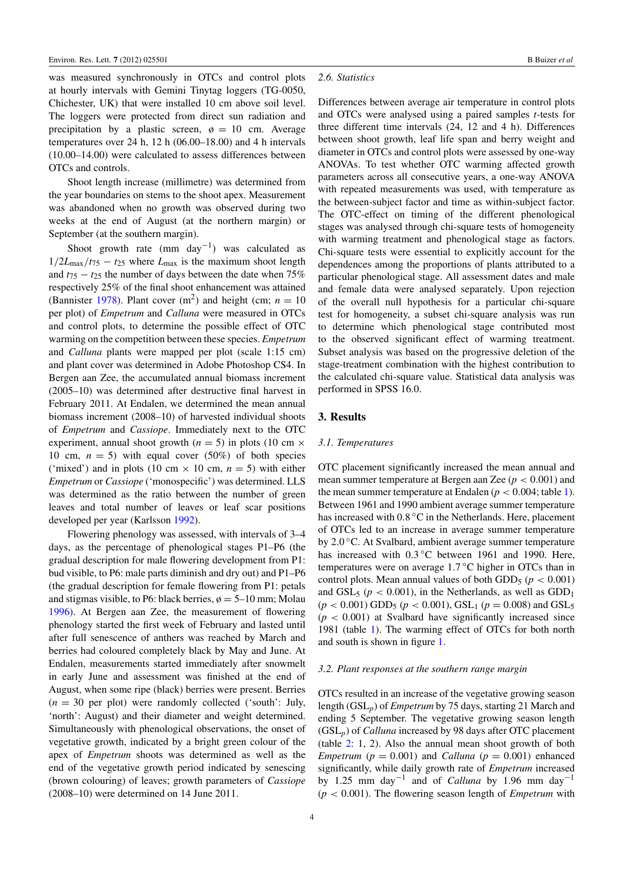was measured synchronously in OTCs and control plots at hourly intervals with Gemini Tinytag loggers (TG-0050, Chichester, UK) that were installed 10 cm above soil level. The loggers were protected from direct sun radiation and precipitation by a plastic screen,  $\phi = 10$  cm. Average temperatures over 24 h, 12 h (06.00–18.00) and 4 h intervals (10.00–14.00) were calculated to assess differences between OTCs and controls.

Shoot length increase (millimetre) was determined from the year boundaries on stems to the shoot apex. Measurement was abandoned when no growth was observed during two weeks at the end of August (at the northern margin) or September (at the southern margin).

Shoot growth rate (mm day<sup>-1</sup>) was calculated as  $1/2L_{\text{max}}/t_{75} - t_{25}$  where  $L_{\text{max}}$  is the maximum shoot length and  $t_{75} - t_{25}$  the number of days between the date when 75% respectively 25% of the final shoot enhancement was attained (Bannister [1978\)](#page-7-15). Plant cover  $(m^2)$  and height (cm;  $n = 10$ per plot) of *Empetrum* and *Calluna* were measured in OTCs and control plots, to determine the possible effect of OTC warming on the competition between these species. *Empetrum* and *Calluna* plants were mapped per plot (scale 1:15 cm) and plant cover was determined in Adobe Photoshop CS4. In Bergen aan Zee, the accumulated annual biomass increment (2005–10) was determined after destructive final harvest in February 2011. At Endalen, we determined the mean annual biomass increment (2008–10) of harvested individual shoots of *Empetrum* and *Cassiope*. Immediately next to the OTC experiment, annual shoot growth ( $n = 5$ ) in plots (10 cm  $\times$ 10 cm,  $n = 5$ ) with equal cover (50%) of both species ('mixed') and in plots (10 cm  $\times$  10 cm,  $n = 5$ ) with either *Empetrum* or *Cassiope* ('monospecific') was determined. LLS was determined as the ratio between the number of green leaves and total number of leaves or leaf scar positions developed per year (Karlsson [1992\)](#page-8-32).

Flowering phenology was assessed, with intervals of 3–4 days, as the percentage of phenological stages P1–P6 (the gradual description for male flowering development from P1: bud visible, to P6: male parts diminish and dry out) and P1–P6 (the gradual description for female flowering from P1: petals and stigmas visible, to P6: black berries,  $\phi = 5{\text -}10$  mm; Molau [1996\)](#page-8-33). At Bergen aan Zee, the measurement of flowering phenology started the first week of February and lasted until after full senescence of anthers was reached by March and berries had coloured completely black by May and June. At Endalen, measurements started immediately after snowmelt in early June and assessment was finished at the end of August, when some ripe (black) berries were present. Berries  $(n = 30$  per plot) were randomly collected ('south': July, 'north': August) and their diameter and weight determined. Simultaneously with phenological observations, the onset of vegetative growth, indicated by a bright green colour of the apex of *Empetrum* shoots was determined as well as the end of the vegetative growth period indicated by senescing (brown colouring) of leaves; growth parameters of *Cassiope* (2008–10) were determined on 14 June 2011.

#### *2.6. Statistics*

Differences between average air temperature in control plots and OTCs were analysed using a paired samples *t*-tests for three different time intervals (24, 12 and 4 h). Differences between shoot growth, leaf life span and berry weight and diameter in OTCs and control plots were assessed by one-way ANOVAs. To test whether OTC warming affected growth parameters across all consecutive years, a one-way ANOVA with repeated measurements was used, with temperature as the between-subject factor and time as within-subject factor. The OTC-effect on timing of the different phenological stages was analysed through chi-square tests of homogeneity with warming treatment and phenological stage as factors. Chi-square tests were essential to explicitly account for the dependences among the proportions of plants attributed to a particular phenological stage. All assessment dates and male and female data were analysed separately. Upon rejection of the overall null hypothesis for a particular chi-square test for homogeneity, a subset chi-square analysis was run to determine which phenological stage contributed most to the observed significant effect of warming treatment. Subset analysis was based on the progressive deletion of the stage-treatment combination with the highest contribution to the calculated chi-square value. Statistical data analysis was performed in SPSS 16.0.

# 3. Results

#### *3.1. Temperatures*

OTC placement significantly increased the mean annual and mean summer temperature at Bergen aan Zee (*p* < 0.001) and the mean summer temperature at Endalen ( $p < 0.004$ ; table [1\)](#page-2-0). Between 1961 and 1990 ambient average summer temperature has increased with  $0.8\text{ °C}$  in the Netherlands. Here, placement of OTCs led to an increase in average summer temperature by 2.0 °C. At Svalbard, ambient average summer temperature has increased with 0.3 °C between 1961 and 1990. Here, temperatures were on average 1.7 °C higher in OTCs than in control plots. Mean annual values of both GDD<sub>5</sub> ( $p < 0.001$ ) and GSL<sub>5</sub> ( $p < 0.001$ ), in the Netherlands, as well as GDD<sub>1</sub>  $(p < 0.001)$  GDD<sub>5</sub>  $(p < 0.001)$ , GSL<sub>1</sub>  $(p = 0.008)$  and GSL<sub>5</sub>  $(p < 0.001)$  at Svalbard have significantly increased since 1981 (table [1\)](#page-2-0). The warming effect of OTCs for both north and south is shown in figure [1.](#page-4-0)

#### *3.2. Plant responses at the southern range margin*

OTCs resulted in an increase of the vegetative growing season length (GSL*p*) of *Empetrum* by 75 days, starting 21 March and ending 5 September. The vegetative growing season length (GSL*p*) of *Calluna* increased by 98 days after OTC placement (table [2:](#page-5-0) 1, 2). Also the annual mean shoot growth of both *Empetrum* ( $p = 0.001$ ) and *Calluna* ( $p = 0.001$ ) enhanced significantly, while daily growth rate of *Empetrum* increased by 1.25 mm day−<sup>1</sup> and of *Calluna* by 1.96 mm day−<sup>1</sup> (*p* < 0.001). The flowering season length of *Empetrum* with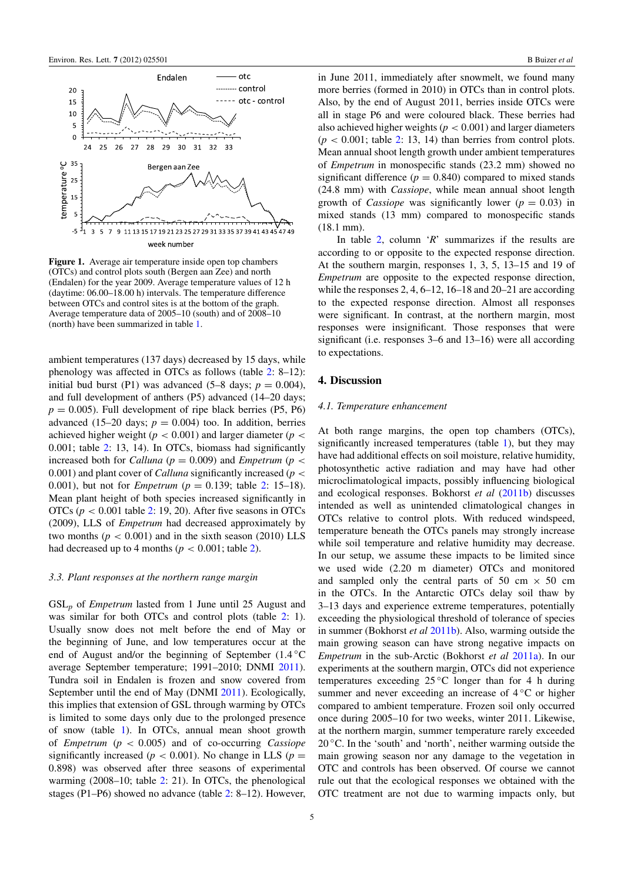<span id="page-4-0"></span>

Figure 1. Average air temperature inside open top chambers (OTCs) and control plots south (Bergen aan Zee) and north (Endalen) for the year 2009. Average temperature values of 12 h (daytime: 06.00–18.00 h) intervals. The temperature difference between OTCs and control sites is at the bottom of the graph. Average temperature data of 2005–10 (south) and of 2008–10 (north) have been summarized in table [1.](#page-2-0)

ambient temperatures (137 days) decreased by 15 days, while phenology was affected in OTCs as follows (table [2:](#page-5-0) 8–12): initial bud burst (P1) was advanced  $(5-8 \text{ days}; p = 0.004)$ , and full development of anthers (P5) advanced (14–20 days;  $p = 0.005$ ). Full development of ripe black berries (P5, P6) advanced (15–20 days;  $p = 0.004$ ) too. In addition, berries achieved higher weight ( $p < 0.001$ ) and larger diameter ( $p <$ 0.001; table [2:](#page-5-0) 13, 14). In OTCs, biomass had significantly increased both for *Calluna* ( $p = 0.009$ ) and *Empetrum* ( $p <$ 0.001) and plant cover of *Calluna* significantly increased (*p* < 0.001), but not for *Empetrum* (*p* = 0.139; table [2:](#page-5-0) 15–18). Mean plant height of both species increased significantly in OTCs ( $p < 0.001$  table [2:](#page-5-0) 19, 20). After five seasons in OTCs (2009), LLS of *Empetrum* had decreased approximately by two months ( $p < 0.001$ ) and in the sixth season (2010) LLS had decreased up to 4 months ( $p < 0.001$ ; table [2\)](#page-5-0).

# *3.3. Plant responses at the northern range margin*

GSL*<sup>p</sup>* of *Empetrum* lasted from 1 June until 25 August and was similar for both OTCs and control plots (table [2:](#page-5-0) 1). Usually snow does not melt before the end of May or the beginning of June, and low temperatures occur at the end of August and/or the beginning of September (1.4 °C average September temperature; 1991–2010; DNMI [2011\)](#page-7-11). Tundra soil in Endalen is frozen and snow covered from September until the end of May (DNMI [2011\)](#page-7-11). Ecologically, this implies that extension of GSL through warming by OTCs is limited to some days only due to the prolonged presence of snow (table [1\)](#page-2-0). In OTCs, annual mean shoot growth of *Empetrum* (*p* < 0.005) and of co-occurring *Cassiope* significantly increased ( $p < 0.001$ ). No change in LLS ( $p =$ 0.898) was observed after three seasons of experimental warming (2008–10; table [2:](#page-5-0) 21). In OTCs, the phenological stages (P1–P6) showed no advance (table [2:](#page-5-0) 8–12). However, in June 2011, immediately after snowmelt, we found many more berries (formed in 2010) in OTCs than in control plots. Also, by the end of August 2011, berries inside OTCs were all in stage P6 and were coloured black. These berries had also achieved higher weights ( $p < 0.001$ ) and larger diameters  $(p < 0.001$ ; table [2:](#page-5-0) 13, 14) than berries from control plots. Mean annual shoot length growth under ambient temperatures of *Empetrum* in monospecific stands (23.2 mm) showed no significant difference  $(p = 0.840)$  compared to mixed stands (24.8 mm) with *Cassiope*, while mean annual shoot length growth of *Cassiope* was significantly lower ( $p = 0.03$ ) in mixed stands (13 mm) compared to monospecific stands (18.1 mm).

In table [2,](#page-5-0) column '*R*' summarizes if the results are according to or opposite to the expected response direction. At the southern margin, responses 1, 3, 5, 13–15 and 19 of *Empetrum* are opposite to the expected response direction, while the responses 2, 4, 6–12, 16–18 and 20–21 are according to the expected response direction. Almost all responses were significant. In contrast, at the northern margin, most responses were insignificant. Those responses that were significant (i.e. responses 3–6 and 13–16) were all according to expectations.

#### 4. Discussion

## *4.1. Temperature enhancement*

At both range margins, the open top chambers (OTCs), significantly increased temperatures (table [1\)](#page-2-0), but they may have had additional effects on soil moisture, relative humidity, photosynthetic active radiation and may have had other microclimatological impacts, possibly influencing biological and ecological responses. Bokhorst *et al* [\(2011b\)](#page-7-16) discusses intended as well as unintended climatological changes in OTCs relative to control plots. With reduced windspeed, temperature beneath the OTCs panels may strongly increase while soil temperature and relative humidity may decrease. In our setup, we assume these impacts to be limited since we used wide (2.20 m diameter) OTCs and monitored and sampled only the central parts of 50 cm  $\times$  50 cm in the OTCs. In the Antarctic OTCs delay soil thaw by 3–13 days and experience extreme temperatures, potentially exceeding the physiological threshold of tolerance of species in summer (Bokhorst *et al* [2011b\)](#page-7-16). Also, warming outside the main growing season can have strong negative impacts on *Empetrum* in the sub-Arctic (Bokhorst *et al* [2011a\)](#page-7-17). In our experiments at the southern margin, OTCs did not experience temperatures exceeding 25 ◦C longer than for 4 h during summer and never exceeding an increase of 4 ◦C or higher compared to ambient temperature. Frozen soil only occurred once during 2005–10 for two weeks, winter 2011. Likewise, at the northern margin, summer temperature rarely exceeded  $20^{\circ}$ C. In the 'south' and 'north', neither warming outside the main growing season nor any damage to the vegetation in OTC and controls has been observed. Of course we cannot rule out that the ecological responses we obtained with the OTC treatment are not due to warming impacts only, but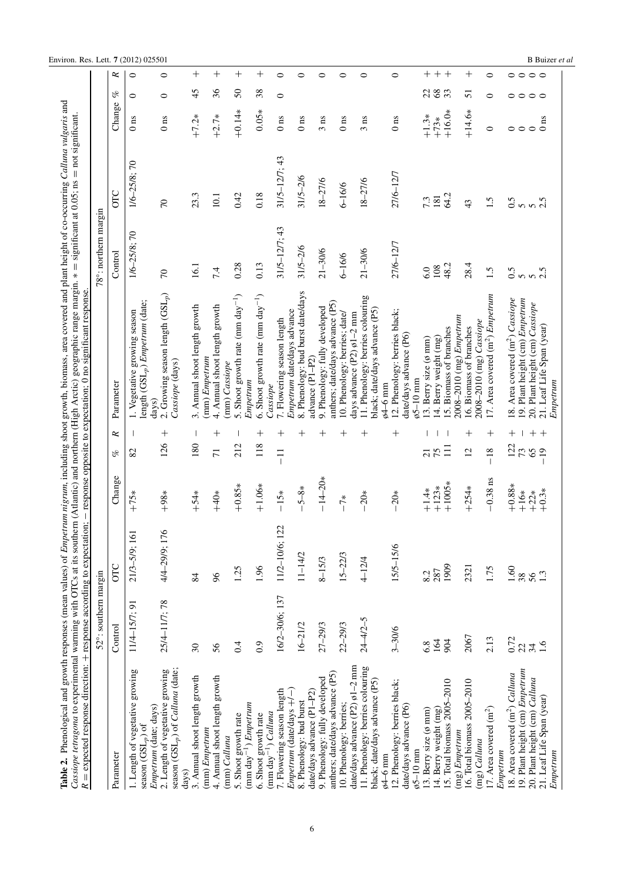<span id="page-5-0"></span>

|                                                                                                             | 52°: southern margin     |                |                     |                                         |                                                                                                | 78°: northern margin |                    |                    |                     |
|-------------------------------------------------------------------------------------------------------------|--------------------------|----------------|---------------------|-----------------------------------------|------------------------------------------------------------------------------------------------|----------------------|--------------------|--------------------|---------------------|
| Parameter                                                                                                   | Control                  | OIС            | Change              | ĸ<br>v,                                 | Parameter                                                                                      | Control              | OTC                | Change             | of                  |
| 1. Length of vegetative growing<br>season $(GSL_p)$ of                                                      | 11/4-15/7; 91            | 21/3-5/9; 161  | $+75*$              | 82                                      | length (GSL <sub>p</sub> ) Empetrum (date;<br>1. Vegetative growing season                     | 1/6-25/8; 70         | 1/6-25/8;70        | 0 <sub>ns</sub>    | 0                   |
| season (GSL <sub>p</sub> ) of Calluna (date;<br>2. Length of vegetative growing<br>Empetrum (date; days)    | 25/4-11/7; 78            | 4/4-29/9; 176  | $+98*$              | $\, +$<br>126                           | 2. Growing season length $(GSL_p)$<br>Cassiope (days)<br>days)                                 | $\mathcal{L}$        | $\overline{C}$     | 0 <sub>ns</sub>    | $\circ$             |
| 3. Annual shoot length growth<br>(mm) Empetrum<br>days)                                                     | $\overline{\mathcal{E}}$ | 84             | $+54*$              | 180                                     | 3. Annual shoot length growth                                                                  | 16.1                 | 23.3               | $+7.2*$            | $\frac{45}{5}$      |
| 4. Annual shoot length growth<br>(mm) Calluna                                                               | 56                       | 8 <sup>o</sup> | $+40*$              | $\hspace{0.1mm} +$<br>$\overline{7}$    | 4. Annual shoot length growth<br>(mm) Empetrum<br>(mm) Cassiope                                | 7.4                  | 10.1               | $+2.7*$            | 36                  |
| $\text{mm}\ \text{day}^{-1}$ ) <i>Empetrum</i><br>5. Shoot growth rate                                      | 0.4                      | 1.25           | $+0.85*$            | 212                                     | 5. Shoot growth rate (mm day <sup>-1</sup> )                                                   | 0.28                 | 0.42               | $+0.14*$           | $50\,$              |
| 6. Shoot growth rate<br>(mm day <sup>-1</sup> ) Calluna                                                     | 0.9                      | 1.96           | $+1.06*$            | $\hspace{0.1mm} +\hspace{0.1mm}$<br>118 | 6. Shoot growth rate (mm $\frac{day^{-1}}{y}$ )<br>Empetrum                                    | 0.13                 | 0.18               | $0.05*$            | 38                  |
| 7. Flowering season length                                                                                  | 16/2-30/6; 137           | 11/2-10/6; 122 | $-15*$              | $\hspace{0.1mm} +$<br>$\overline{1}$    | 7. Flowering season length<br>Cassiope                                                         | $31/5 - 12/7$ ; 43   | $31/5 - 12/7$ ; 43 | 0 <sub>ns</sub>    | $\circ$             |
| Empetrum (date/days $+/-$ )<br>8. Phenology: bud burst                                                      | $16 - 21/2$              | $11 - 14/2$    | $-5 - 8*$           | $\hspace{.011cm} +$                     | 8. Phenology: bud burst date/days<br>Empetrum date/days advance<br>advance (P1-P2)             | $31/5 - 2/6$         | $31/5 - 2/6$       | 0 <sub>ns</sub>    |                     |
| 9. Phenology: fully developed<br>date/days advance (P1-P2)                                                  | 27-29/3                  | $8 - 15/3$     | $-14-20*$           | $\hspace{0.1mm} +$                      | 9. Phenology: fully developed                                                                  | $21 - 30/6$          | $18 - 27/6$        | $3 \text{ ns}$     |                     |
| anthers; date/days advance (P5)<br>10. Phenology: berries;                                                  | 22-29/3                  | $15 - 22/3$    | $-7*$               | $\hspace{0.1mm} +$                      | anthers; date/days advance (P5)<br>10. Phenology: berries; date/                               | $6 - 16/6$           | $6 - 16/6$         | $0\:\mathrm{ns}$   |                     |
| date/days advance $(P2)$ $\phi$ 1-2 mm<br>11. Phenology: berries colouring<br>black; date/days advance (P5) | $24 - 4/2 - 5$           | $4 - 12/4$     | $-20*$              | $\hspace{0.1mm} +$                      | 11. Phenology: berries colouring<br>black; date/days advance (P5)<br>days advance (P2) ø1-2 mm | $21 - 30/6$          | $18 - 27/6$        | $3 \text{ ns}$     |                     |
| 12. Phenology: berries black;<br>date/days advance (P6)<br>$\varphi$ 5-10 mm<br>$64-6$ mm                   | $3 - 30/6$               | 15/5-15/6      | $-20*$              | $\overline{+}$                          | 12. Phenology: berries black;<br>date/days advance (P6)<br>$\omega$ 5-10 mm<br>$64-6$ mm       | 27/6-12/7            | 27/6-12/7          | $0 \text{ ns}$     |                     |
| 13. Berry size (ø mm)                                                                                       | 6.8                      | 8.2            | $+1.4*$             | $\overline{21}$                         | $(3.$ Berry size $(6 \text{ mm})$                                                              | 6.0                  | 7.3                | $+1.3*$            | 22                  |
| 15. Total biomass 2005-2010<br>14. Berry weight (mg)                                                        | 164<br>904               | 1909<br>287    | $+1005*$<br>$+123*$ | $\overline{11}$<br>75                   | 15. Biomass of branches<br>14. Berry weight (mg)                                               | 48.2<br>108          | 64.2<br>181        | $+16.0*$<br>$+73*$ | $68\,$<br>33        |
| 16. Total biomass 2005-2010<br>(mg) Empetrum<br>(mg) Calluna                                                | 2067                     | 2321           | $+254*$             | ┿<br>$\overline{2}$                     | 2008-2010 (mg) Empetrum<br>2008-2010 (mg) Cassiope<br>16. Biomass of branches                  | 28.4                 | 43                 | $+14.6*$           | 51                  |
| 17. Area covered $(m2)$<br>Empetrum                                                                         | 2.13                     | 1.75           | $-0.38$ ns          | $\hspace{0.1mm} +$<br>$-18$             | 17. Area covered (m <sup>2</sup> ) Empetrum                                                    | 1.5                  | 1.5                | $\circ$            | 0                   |
| 18. Area covered (m <sup>2</sup> ) Calluna                                                                  | 0.72                     | 1.60           | $+0.88*$            | $^{+}$<br>122                           | 18. Area covered (m <sup>2</sup> ) Cassiope                                                    | 0.5                  | 0.5                | $\circ$            | $\circ$             |
| 19. Plant height (cm) Empetrum<br>20. Plant height (cm) Calluna                                             | $\overline{22}$<br>34    | 38<br>56       | $+16*$<br>$+22*$    | $\hspace{0.1mm} +$<br>73<br>$-19$       | 19. Plant height (cm) Empetrum<br>20. Plant height (cm) Cassiope                               | 550                  | $\frac{5}{2}$      | $\circ$            | $\circ \circ \circ$ |
| 21. Leaf Life Span (year)<br>Empetrum                                                                       | $\frac{6}{1}$            | 1.3            | $+0.3*$             | $\,$ $\,$                               | 21. Leaf Life Span (year)                                                                      |                      |                    | 0 <sub>ns</sub>    |                     |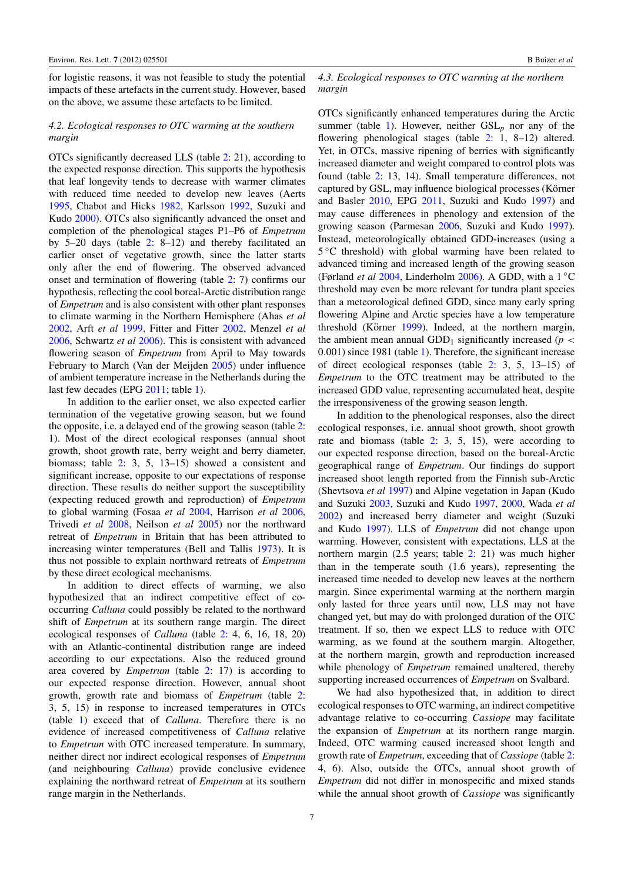for logistic reasons, it was not feasible to study the potential impacts of these artefacts in the current study. However, based on the above, we assume these artefacts to be limited.

# *4.2. Ecological responses to OTC warming at the southern margin*

OTCs significantly decreased LLS (table [2:](#page-5-0) 21), according to the expected response direction. This supports the hypothesis that leaf longevity tends to decrease with warmer climates with reduced time needed to develop new leaves (Aerts [1995,](#page-7-18) Chabot and Hicks [1982,](#page-7-19) Karlsson [1992,](#page-8-32) Suzuki and Kudo [2000\)](#page-8-34). OTCs also significantly advanced the onset and completion of the phenological stages P1–P6 of *Empetrum* by 5–20 days (table [2:](#page-5-0) 8–12) and thereby facilitated an earlier onset of vegetative growth, since the latter starts only after the end of flowering. The observed advanced onset and termination of flowering (table [2:](#page-5-0) 7) confirms our hypothesis, reflecting the cool boreal-Arctic distribution range of *Empetrum* and is also consistent with other plant responses to climate warming in the Northern Hemisphere (Ahas *et al* [2002,](#page-7-20) Arft *et al* [1999,](#page-7-21) Fitter and Fitter [2002,](#page-7-22) Menzel *et al* [2006,](#page-8-3) Schwartz *et al* [2006\)](#page-8-35). This is consistent with advanced flowering season of *Empetrum* from April to May towards February to March (Van der Meijden [2005\)](#page-8-17) under influence of ambient temperature increase in the Netherlands during the last few decades (EPG [2011;](#page-7-13) table [1\)](#page-2-0).

In addition to the earlier onset, we also expected earlier termination of the vegetative growing season, but we found the opposite, i.e. a delayed end of the growing season (table [2:](#page-5-0) 1). Most of the direct ecological responses (annual shoot growth, shoot growth rate, berry weight and berry diameter, biomass; table [2:](#page-5-0) 3, 5, 13–15) showed a consistent and significant increase, opposite to our expectations of response direction. These results do neither support the susceptibility (expecting reduced growth and reproduction) of *Empetrum* to global warming (Fosaa *et al* [2004,](#page-7-2) Harrison *et al* [2006,](#page-8-7) Trivedi *et al* [2008,](#page-8-8) Neilson *et al* [2005\)](#page-8-4) nor the northward retreat of *Empetrum* in Britain that has been attributed to increasing winter temperatures (Bell and Tallis [1973\)](#page-7-5). It is thus not possible to explain northward retreats of *Empetrum* by these direct ecological mechanisms.

In addition to direct effects of warming, we also hypothesized that an indirect competitive effect of cooccurring *Calluna* could possibly be related to the northward shift of *Empetrum* at its southern range margin. The direct ecological responses of *Calluna* (table [2:](#page-5-0) 4, 6, 16, 18, 20) with an Atlantic-continental distribution range are indeed according to our expectations. Also the reduced ground area covered by *Empetrum* (table [2:](#page-5-0) 17) is according to our expected response direction. However, annual shoot growth, growth rate and biomass of *Empetrum* (table [2:](#page-5-0) 3, 5, 15) in response to increased temperatures in OTCs (table [1\)](#page-2-0) exceed that of *Calluna*. Therefore there is no evidence of increased competitiveness of *Calluna* relative to *Empetrum* with OTC increased temperature. In summary, neither direct nor indirect ecological responses of *Empetrum* (and neighbouring *Calluna*) provide conclusive evidence explaining the northward retreat of *Empetrum* at its southern range margin in the Netherlands.

#### *4.3. Ecological responses to OTC warming at the northern margin*

OTCs significantly enhanced temperatures during the Arctic summer (table [1\)](#page-2-0). However, neither  $GSL_p$  nor any of the flowering phenological stages (table [2:](#page-5-0) 1, 8–12) altered. Yet, in OTCs, massive ripening of berries with significantly increased diameter and weight compared to control plots was found (table [2:](#page-5-0) 13, 14). Small temperature differences, not captured by GSL, may influence biological processes (Körner and Basler [2010,](#page-8-36) EPG [2011,](#page-7-13) Suzuki and Kudo [1997\)](#page-8-37) and may cause differences in phenology and extension of the growing season (Parmesan [2006,](#page-8-2) Suzuki and Kudo [1997\)](#page-8-37). Instead, meteorologically obtained GDD-increases (using a 5 ◦C threshold) with global warming have been related to advanced timing and increased length of the growing season (Førland *et al* [2004,](#page-7-12) Linderholm [2006\)](#page-8-26). A GDD, with a 1 ◦C threshold may even be more relevant for tundra plant species than a meteorological defined GDD, since many early spring flowering Alpine and Arctic species have a low temperature threshold (Körner [1999\)](#page-8-38). Indeed, at the northern margin, the ambient mean annual GDD<sub>1</sub> significantly increased ( $p <$ 0.001) since 1981 (table [1\)](#page-2-0). Therefore, the significant increase of direct ecological responses (table [2:](#page-5-0) 3, 5, 13–15) of *Empetrum* to the OTC treatment may be attributed to the increased GDD value, representing accumulated heat, despite the irresponsiveness of the growing season length.

In addition to the phenological responses, also the direct ecological responses, i.e. annual shoot growth, shoot growth rate and biomass (table [2:](#page-5-0) 3, 5, 15), were according to our expected response direction, based on the boreal-Arctic geographical range of *Empetrum*. Our findings do support increased shoot length reported from the Finnish sub-Arctic (Shevtsova *et al* [1997\)](#page-8-39) and Alpine vegetation in Japan (Kudo and Suzuki [2003,](#page-8-40) Suzuki and Kudo [1997,](#page-8-37) [2000,](#page-8-34) Wada *et al* [2002\)](#page-8-41) and increased berry diameter and weight (Suzuki and Kudo [1997\)](#page-8-37). LLS of *Empetrum* did not change upon warming. However, consistent with expectations, LLS at the northern margin (2.5 years; table [2:](#page-5-0) 21) was much higher than in the temperate south (1.6 years), representing the increased time needed to develop new leaves at the northern margin. Since experimental warming at the northern margin only lasted for three years until now, LLS may not have changed yet, but may do with prolonged duration of the OTC treatment. If so, then we expect LLS to reduce with OTC warming, as we found at the southern margin. Altogether, at the northern margin, growth and reproduction increased while phenology of *Empetrum* remained unaltered, thereby supporting increased occurrences of *Empetrum* on Svalbard.

We had also hypothesized that, in addition to direct ecological responses to OTC warming, an indirect competitive advantage relative to co-occurring *Cassiope* may facilitate the expansion of *Empetrum* at its northern range margin. Indeed, OTC warming caused increased shoot length and growth rate of *Empetrum*, exceeding that of *Cassiope* (table [2:](#page-5-0) 4, 6). Also, outside the OTCs, annual shoot growth of *Empetrum* did not differ in monospecific and mixed stands while the annual shoot growth of *Cassiope* was significantly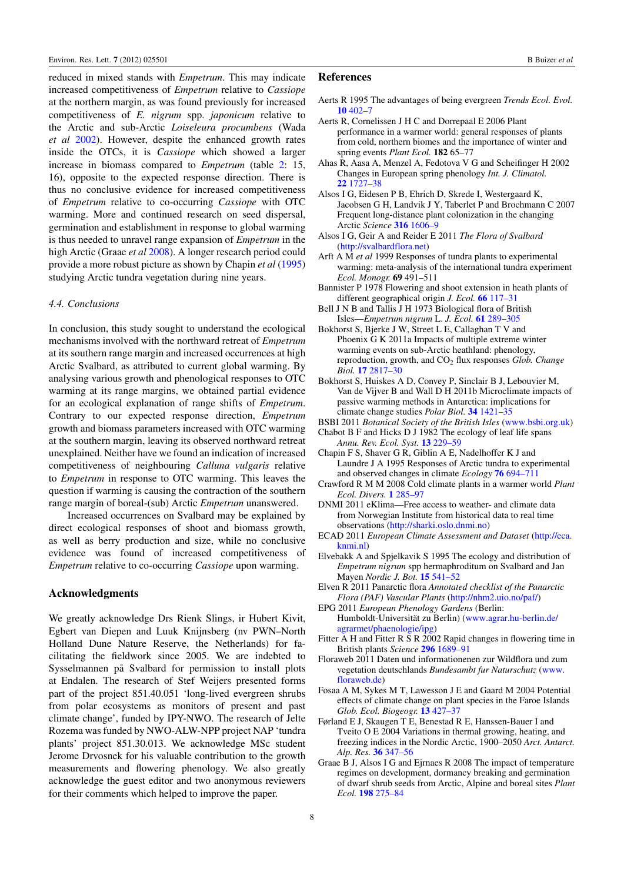reduced in mixed stands with *Empetrum*. This may indicate increased competitiveness of *Empetrum* relative to *Cassiope* at the northern margin, as was found previously for increased competitiveness of *E. nigrum* spp. *japonicum* relative to the Arctic and sub-Arctic *Loiseleura procumbens* (Wada *et al* [2002\)](#page-8-41). However, despite the enhanced growth rates inside the OTCs, it is *Cassiope* which showed a larger increase in biomass compared to *Empetrum* (table [2:](#page-5-0) 15, 16), opposite to the expected response direction. There is thus no conclusive evidence for increased competitiveness of *Empetrum* relative to co-occurring *Cassiope* with OTC warming. More and continued research on seed dispersal, germination and establishment in response to global warming is thus needed to unravel range expansion of *Empetrum* in the high Arctic (Graae *et al* [2008\)](#page-7-23). A longer research period could provide a more robust picture as shown by Chapin *et al* [\(1995\)](#page-7-3) studying Arctic tundra vegetation during nine years.

### *4.4. Conclusions*

In conclusion, this study sought to understand the ecological mechanisms involved with the northward retreat of *Empetrum* at its southern range margin and increased occurrences at high Arctic Svalbard, as attributed to current global warming. By analysing various growth and phenological responses to OTC warming at its range margins, we obtained partial evidence for an ecological explanation of range shifts of *Empetrum*. Contrary to our expected response direction, *Empetrum* growth and biomass parameters increased with OTC warming at the southern margin, leaving its observed northward retreat unexplained. Neither have we found an indication of increased competitiveness of neighbouring *Calluna vulgaris* relative to *Empetrum* in response to OTC warming. This leaves the question if warming is causing the contraction of the southern range margin of boreal-(sub) Arctic *Empetrum* unanswered.

Increased occurrences on Svalbard may be explained by direct ecological responses of shoot and biomass growth, as well as berry production and size, while no conclusive evidence was found of increased competitiveness of *Empetrum* relative to co-occurring *Cassiope* upon warming.

# Acknowledgments

We greatly acknowledge Drs Rienk Slings, ir Hubert Kivit, Egbert van Diepen and Luuk Knijnsberg (nv PWN–North Holland Dune Nature Reserve, the Netherlands) for facilitating the fieldwork since 2005. We are indebted to Sysselmannen på Svalbard for permission to install plots at Endalen. The research of Stef Weijers presented forms part of the project 851.40.051 'long-lived evergreen shrubs from polar ecosystems as monitors of present and past climate change', funded by IPY-NWO. The research of Jelte Rozema was funded by NWO-ALW-NPP project NAP 'tundra plants' project 851.30.013. We acknowledge MSc student Jerome Drvosnek for his valuable contribution to the growth measurements and flowering phenology. We also greatly acknowledge the guest editor and two anonymous reviewers for their comments which helped to improve the paper.

# References

- <span id="page-7-18"></span>Aerts R 1995 The advantages of being evergreen *Trends Ecol. Evol.* [10](http://dx.doi.org/10.1016/S0169-5347(00)89156-9) [402–7](http://dx.doi.org/10.1016/S0169-5347(00)89156-9)
- <span id="page-7-0"></span>Aerts R, Cornelissen J H C and Dorrepaal E 2006 Plant performance in a warmer world: general responses of plants from cold, northern biomes and the importance of winter and spring events *Plant Ecol.* 182 65–77
- <span id="page-7-20"></span>Ahas R, Aasa A, Menzel A, Fedotova V G and Scheifinger H 2002 Changes in European spring phenology *Int. J. Climatol.* [22](http://dx.doi.org/10.1002/joc.818) [1727–38](http://dx.doi.org/10.1002/joc.818)
- <span id="page-7-9"></span>Alsos I G, Eidesen P B, Ehrich D, Skrede I, Westergaard K, Jacobsen G H, Landvik J Y, Taberlet P and Brochmann C 2007 Frequent long-distance plant colonization in the changing Arctic *Science* [316](http://dx.doi.org/10.1126/science.1139178) [1606–9](http://dx.doi.org/10.1126/science.1139178)
- <span id="page-7-10"></span>Alsos I G, Geir A and Reider E 2011 *The Flora of Svalbard* [\(http://svalbardflora.net\)](http://svalbardflora.net)
- <span id="page-7-21"></span>Arft A M *et al* 1999 Responses of tundra plants to experimental warming: meta-analysis of the international tundra experiment *Ecol. Monogr.* 69 491–511
- <span id="page-7-15"></span>Bannister P 1978 Flowering and shoot extension in heath plants of different geographical origin *J. Ecol.* [66](http://dx.doi.org/10.2307/2259184) [117–31](http://dx.doi.org/10.2307/2259184)
- <span id="page-7-5"></span>Bell J N B and Tallis J H 1973 Biological flora of British Isles—*Empetrum nigrum* L. *J. Ecol.* [61](http://dx.doi.org/10.2307/2258934) [289–305](http://dx.doi.org/10.2307/2258934)
- <span id="page-7-17"></span>Bokhorst S, Bjerke J W, Street L E, Callaghan T V and Phoenix G K 2011a Impacts of multiple extreme winter warming events on sub-Arctic heathland: phenology, reproduction, growth, and CO<sub>2</sub> flux responses *Glob. Change Biol.* [17](http://dx.doi.org/10.1111/j.1365-2486.2011.02424.x) [2817–30](http://dx.doi.org/10.1111/j.1365-2486.2011.02424.x)
- <span id="page-7-16"></span>Bokhorst S, Huiskes A D, Convey P, Sinclair B J, Lebouvier M, Van de Vijver B and Wall D H 2011b Microclimate impacts of passive warming methods in Antarctica: implications for climate change studies *Polar Biol.* [34](http://dx.doi.org/10.1007/s00300-011-0997-y) [1421–35](http://dx.doi.org/10.1007/s00300-011-0997-y)

<span id="page-7-6"></span>BSBI 2011 *Botanical Society of the British Isles* [\(www.bsbi.org.uk\)](http://www.bsbi.org.uk)

<span id="page-7-19"></span>Chabot B F and Hicks D J 1982 The ecology of leaf life spans *Annu. Rev. Ecol. Syst.* [13](http://dx.doi.org/10.1146/annurev.es.13.110182.001305) [229–59](http://dx.doi.org/10.1146/annurev.es.13.110182.001305)

- <span id="page-7-3"></span>Chapin F S, Shaver G R, Giblin A E, Nadelhoffer K J and Laundre J A 1995 Responses of Arctic tundra to experimental and observed changes in climate *Ecology* [76](http://dx.doi.org/10.2307/1939337) [694–711](http://dx.doi.org/10.2307/1939337)
- <span id="page-7-1"></span>Crawford R M M 2008 Cold climate plants in a warmer world *Plant Ecol. Divers.* [1](http://dx.doi.org/10.1080/17550870802407332) [285–97](http://dx.doi.org/10.1080/17550870802407332)
- <span id="page-7-11"></span>DNMI 2011 eKlima—Free access to weather- and climate data from Norwegian Institute from historical data to real time observations [\(http://sharki.oslo.dnmi.no\)](http://sharki.oslo.dnmi.no)
- <span id="page-7-14"></span>ECAD 2011 *European Climate Assessment and Dataset* [\(http://eca.](http://eca.knmi.nl) [knmi.nl\)](http://eca.knmi.nl)
- <span id="page-7-8"></span>Elvebakk A and Spjelkavik S 1995 The ecology and distribution of *Empetrum nigrum* spp hermaphroditum on Svalbard and Jan Mayen *Nordic J. Bot.* [15](http://dx.doi.org/10.1111/j.1756-1051.1995.tb00190.x) [541–52](http://dx.doi.org/10.1111/j.1756-1051.1995.tb00190.x)
- <span id="page-7-4"></span>Elven R 2011 Panarctic flora *Annotated checklist of the Panarctic Flora (PAF) Vascular Plants* [\(http://nhm2.uio.no/paf/\)](http://nhm2.uio.no/paf/)
- <span id="page-7-13"></span>EPG 2011 *European Phenology Gardens* (Berlin: Humboldt-Universität zu Berlin) ([www.agrar.hu-berlin.de/](http://www.agrar.hu-berlin.de/agrarmet/phaenologie/ipg) [agrarmet/phaenologie/ipg\)](http://www.agrar.hu-berlin.de/agrarmet/phaenologie/ipg)
- <span id="page-7-22"></span>Fitter A H and Fitter R S R 2002 Rapid changes in flowering time in British plants *Science* [296](http://dx.doi.org/10.1126/science.1071617) [1689–91](http://dx.doi.org/10.1126/science.1071617)
- <span id="page-7-7"></span>Floraweb 2011 Daten und informationenen zur Wildflora und zum vegetation deutschlands *Bundesambt fur Naturschutz* [\(www.](http://www.floraweb.de) [floraweb.de\)](http://www.floraweb.de)
- <span id="page-7-2"></span>Fosaa A M, Sykes M T, Lawesson J E and Gaard M 2004 Potential effects of climate change on plant species in the Faroe Islands *Glob. Ecol. Biogeogr.* [13](http://dx.doi.org/10.1111/j.1466-822X.2004.00113.x) [427–37](http://dx.doi.org/10.1111/j.1466-822X.2004.00113.x)
- <span id="page-7-12"></span>Førland E J, Skaugen T E, Benestad R E, Hanssen-Bauer I and Tveito O E 2004 Variations in thermal growing, heating, and freezing indices in the Nordic Arctic, 1900–2050 *Arct. Antarct. Alp. Res.* [36](http://dx.doi.org/10.1657/1523-0430(2004)036[0347:VITGHA]2.0.CO;2) [347–56](http://dx.doi.org/10.1657/1523-0430(2004)036[0347:VITGHA]2.0.CO;2)
- <span id="page-7-23"></span>Graae B J, Alsos I G and Ejrnaes R 2008 The impact of temperature regimes on development, dormancy breaking and germination of dwarf shrub seeds from Arctic, Alpine and boreal sites *Plant Ecol.* [198](http://dx.doi.org/10.1007/s11258-008-9403-4) [275–84](http://dx.doi.org/10.1007/s11258-008-9403-4)